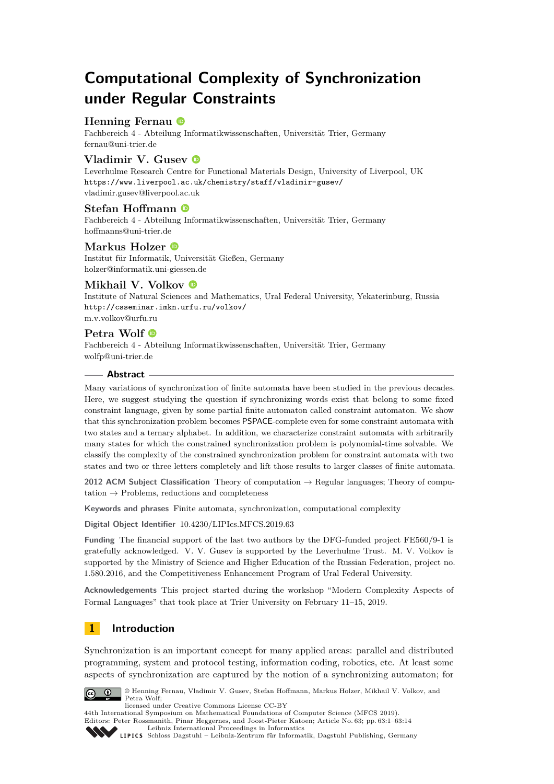# **Computational Complexity of Synchronization under Regular Constraints**

# **Henning Fernau**

Fachbereich 4 - Abteilung Informatikwissenschaften, Universität Trier, Germany [fernau@uni-trier.de](mailto:fernau@uni-trier.de)

### **Vladimir V. Gusev**

Leverhulme Research Centre for Functional Materials Design, University of Liverpool, UK <https://www.liverpool.ac.uk/chemistry/staff/vladimir-gusev/> [vladimir.gusev@liverpool.ac.uk](mailto:vladimir.gusev@liverpool.ac.uk)

### **Stefan Hoffmann**

Fachbereich 4 - Abteilung Informatikwissenschaften, Universität Trier, Germany [hoffmanns@uni-trier.de](mailto:hoffmanns@uni-trier.de)

### **Markus Holzer**

Institut für Informatik, Universität Gießen, Germany [holzer@informatik.uni-giessen.de](mailto:holzer@informatik.uni-giessen.de)

# **Mikhail V. Volkov**

Institute of Natural Sciences and Mathematics, Ural Federal University, Yekaterinburg, Russia <http://csseminar.imkn.urfu.ru/volkov/> [m.v.volkov@urfu.ru](mailto:m.v.volkov@urfu.ru)

### **Petra Wolf**

Fachbereich 4 - Abteilung Informatikwissenschaften, Universität Trier, Germany [wolfp@uni-trier.de](mailto:wolfp@uni-trier.de)

#### **Abstract**

Many variations of synchronization of finite automata have been studied in the previous decades. Here, we suggest studying the question if synchronizing words exist that belong to some fixed constraint language, given by some partial finite automaton called constraint automaton. We show that this synchronization problem becomes PSPACE-complete even for some constraint automata with two states and a ternary alphabet. In addition, we characterize constraint automata with arbitrarily many states for which the constrained synchronization problem is polynomial-time solvable. We classify the complexity of the constrained synchronization problem for constraint automata with two states and two or three letters completely and lift those results to larger classes of finite automata.

**2012 ACM Subject Classification** Theory of computation → Regular languages; Theory of computation  $\rightarrow$  Problems, reductions and completeness

**Keywords and phrases** Finite automata, synchronization, computational complexity

**Digital Object Identifier** [10.4230/LIPIcs.MFCS.2019.63](https://doi.org/10.4230/LIPIcs.MFCS.2019.63)

**Funding** The financial support of the last two authors by the DFG-funded project FE560/9-1 is gratefully acknowledged. V. V. Gusev is supported by the Leverhulme Trust. M. V. Volkov is supported by the Ministry of Science and Higher Education of the Russian Federation, project no. 1.580.2016, and the Competitiveness Enhancement Program of Ural Federal University.

**Acknowledgements** This project started during the workshop "Modern Complexity Aspects of Formal Languages" that took place at Trier University on February 11–15, 2019.

# **1 Introduction**

Synchronization is an important concept for many applied areas: parallel and distributed programming, system and protocol testing, information coding, robotics, etc. At least some aspects of synchronization are captured by the notion of a synchronizing automaton; for



© Henning Fernau, Vladimir V. Gusev, Stefan Hoffmann, Markus Holzer, Mikhail V. Volkov, and Petra Wolf;

licensed under Creative Commons License CC-BY

44th International Symposium on Mathematical Foundations of Computer Science (MFCS 2019). Editors: Peter Rossmanith, Pinar Heggernes, and Joost-Pieter Katoen; Article No. 63; pp. 63:1–63[:14](#page-13-0)

[Leibniz International Proceedings in Informatics](https://www.dagstuhl.de/lipics/)



[Schloss Dagstuhl – Leibniz-Zentrum für Informatik, Dagstuhl Publishing, Germany](https://www.dagstuhl.de)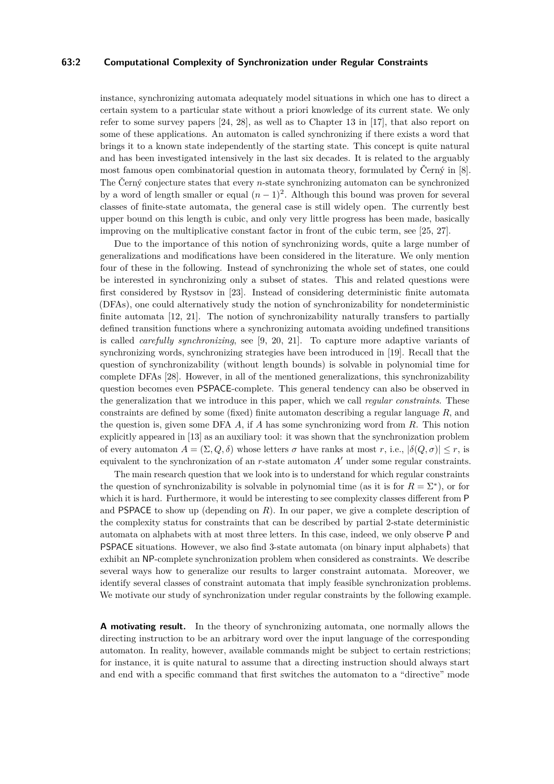#### **63:2 Computational Complexity of Synchronization under Regular Constraints**

instance, synchronizing automata adequately model situations in which one has to direct a certain system to a particular state without a priori knowledge of its current state. We only refer to some survey papers [\[24,](#page-13-1) [28\]](#page-13-2), as well as to Chapter 13 in [\[17\]](#page-13-3), that also report on some of these applications. An automaton is called synchronizing if there exists a word that brings it to a known state independently of the starting state. This concept is quite natural and has been investigated intensively in the last six decades. It is related to the arguably most famous open combinatorial question in automata theory, formulated by Černý in [\[8\]](#page-12-0). The Černý conjecture states that every *n*-state synchronizing automaton can be synchronized by a word of length smaller or equal  $(n-1)^2$ . Although this bound was proven for several classes of finite-state automata, the general case is still widely open. The currently best upper bound on this length is cubic, and only very little progress has been made, basically improving on the multiplicative constant factor in front of the cubic term, see [\[25,](#page-13-4) [27\]](#page-13-5).

Due to the importance of this notion of synchronizing words, quite a large number of generalizations and modifications have been considered in the literature. We only mention four of these in the following. Instead of synchronizing the whole set of states, one could be interested in synchronizing only a subset of states. This and related questions were first considered by Rystsov in [\[23\]](#page-13-6). Instead of considering deterministic finite automata (DFAs), one could alternatively study the notion of synchronizability for nondeterministic finite automata [\[12,](#page-13-7) [21\]](#page-13-8). The notion of synchronizability naturally transfers to partially defined transition functions where a synchronizing automata avoiding undefined transitions is called *carefully synchronizing*, see [\[9,](#page-12-1) [20,](#page-13-9) [21\]](#page-13-8). To capture more adaptive variants of synchronizing words, synchronizing strategies have been introduced in [\[19\]](#page-13-10). Recall that the question of synchronizability (without length bounds) is solvable in polynomial time for complete DFAs [\[28\]](#page-13-2). However, in all of the mentioned generalizations, this synchronizability question becomes even PSPACE-complete. This general tendency can also be observed in the generalization that we introduce in this paper, which we call *regular constraints*. These constraints are defined by some (fixed) finite automaton describing a regular language *R*, and the question is, given some DFA *A*, if *A* has some synchronizing word from *R*. This notion explicitly appeared in [\[13\]](#page-13-11) as an auxiliary tool: it was shown that the synchronization problem of every automaton  $A = (\Sigma, Q, \delta)$  whose letters  $\sigma$  have ranks at most  $r$ , i.e.,  $|\delta(Q, \sigma)| \leq r$ , is equivalent to the synchronization of an  $r$ -state automaton  $A'$  under some regular constraints.

The main research question that we look into is to understand for which regular constraints the question of synchronizability is solvable in polynomial time (as it is for  $R = \Sigma^*$ ), or for which it is hard. Furthermore, it would be interesting to see complexity classes different from P and PSPACE to show up (depending on *R*). In our paper, we give a complete description of the complexity status for constraints that can be described by partial 2-state deterministic automata on alphabets with at most three letters. In this case, indeed, we only observe P and PSPACE situations. However, we also find 3-state automata (on binary input alphabets) that exhibit an NP-complete synchronization problem when considered as constraints. We describe several ways how to generalize our results to larger constraint automata. Moreover, we identify several classes of constraint automata that imply feasible synchronization problems. We motivate our study of synchronization under regular constraints by the following example.

**A motivating result.** In the theory of synchronizing automata, one normally allows the directing instruction to be an arbitrary word over the input language of the corresponding automaton. In reality, however, available commands might be subject to certain restrictions; for instance, it is quite natural to assume that a directing instruction should always start and end with a specific command that first switches the automaton to a "directive" mode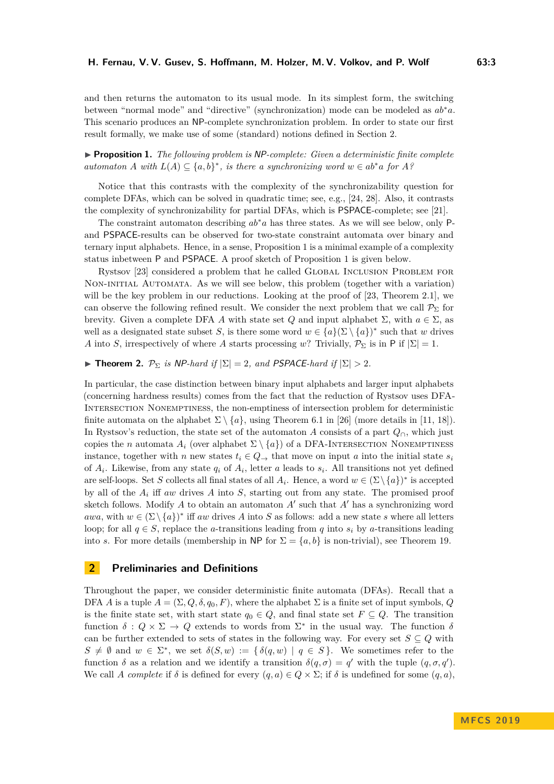and then returns the automaton to its usual mode. In its simplest form, the switching between "normal mode" and "directive" (synchronization) mode can be modeled as *ab*∗*a*. This scenario produces an NP-complete synchronization problem. In order to state our first result formally, we make use of some (standard) notions defined in Section [2.](#page-2-0)

<span id="page-2-1"></span>I **Proposition 1.** *The following problem is* NP*-complete: Given a deterministic finite complete automaton A with*  $L(A) \subseteq \{a, b\}^*$ , *is there a synchronizing word*  $w \in ab^*a$  *for*  $A^s$ 

Notice that this contrasts with the complexity of the synchronizability question for complete DFAs, which can be solved in quadratic time; see, e.g., [\[24,](#page-13-1) [28\]](#page-13-2). Also, it contrasts the complexity of synchronizability for partial DFAs, which is PSPACE-complete; see [\[21\]](#page-13-8).

The constraint automaton describing *ab*∗*a* has three states. As we will see below, only Pand PSPACE-results can be observed for two-state constraint automata over binary and ternary input alphabets. Hence, in a sense, Proposition [1](#page-2-1) is a minimal example of a complexity status inbetween P and PSPACE. A proof sketch of Proposition [1](#page-2-1) is given below.

Rystsov [\[23\]](#page-13-6) considered a problem that he called GLOBAL INCLUSION PROBLEM FOR Non-initial Automata. As we will see below, this problem (together with a variation) will be the key problem in our reductions. Looking at the proof of [\[23,](#page-13-6) Theorem 2.1], we can observe the following refined result. We consider the next problem that we call  $\mathcal{P}_{\Sigma}$  for brevity. Given a complete DFA A with state set Q and input alphabet  $\Sigma$ , with  $a \in \Sigma$ , as well as a designated state subset *S*, is there some word  $w \in \{a\}(\Sigma \setminus \{a\})^*$  such that *w* drives *A* into *S*, irrespectively of where *A* starts processing *w*? Trivially,  $\mathcal{P}_{\Sigma}$  is in P if  $|\Sigma| = 1$ .

# **► Theorem 2.**  $\mathcal{P}_{\Sigma}$  *is NP-hard if*  $|\Sigma| = 2$ *, and PSPACE-hard if*  $|\Sigma| > 2$ *.*

In particular, the case distinction between binary input alphabets and larger input alphabets (concerning hardness results) comes from the fact that the reduction of Rystsov uses DFA-Intersection Nonemptiness, the non-emptiness of intersection problem for deterministic finite automata on the alphabet  $\Sigma \setminus \{a\}$ , using Theorem 6.1 in [\[26\]](#page-13-12) (more details in [\[11,](#page-12-2) [18\]](#page-13-13)). In Rystsov's reduction, the state set of the automaton *A* consists of a part *Q*∩, which just copies the *n* automata  $A_i$  (over alphabet  $\Sigma \setminus \{a\}$ ) of a DFA-INTERSECTION NONEMPTINESS instance, together with *n* new states  $t_i \in Q_\rightarrow$  that move on input *a* into the initial state  $s_i$ of  $A_i$ . Likewise, from any state  $q_i$  of  $A_i$ , letter *a* leads to  $s_i$ . All transitions not yet defined are self-loops. Set *S* collects all final states of all  $A_i$ . Hence, a word  $w \in (\Sigma \setminus \{a\})^*$  is accepted by all of the *A<sup>i</sup>* iff *aw* drives *A* into *S*, starting out from any state. The promised proof sketch follows. Modify  $A$  to obtain an automaton  $A'$  such that  $A'$  has a synchronizing word *awa*, with  $w \in (\Sigma \setminus \{a\})^*$  iff *aw* drives *A* into *S* as follows: add a new state *s* where all letters loop; for all  $q \in S$ , replace the *a*-transitions leading from *q* into  $s_i$  by *a*-transitions leading into *s*. For more details (membership in NP for  $\Sigma = \{a, b\}$  is non-trivial), see Theorem [19.](#page-5-0)

#### <span id="page-2-0"></span>**2 Preliminaries and Definitions**

Throughout the paper, we consider deterministic finite automata (DFAs). Recall that a DFA *A* is a tuple  $A = (\Sigma, Q, \delta, q_0, F)$ , where the alphabet  $\Sigma$  is a finite set of input symbols, *Q* is the finite state set, with start state  $q_0 \in Q$ , and final state set  $F \subseteq Q$ . The transition function  $\delta: Q \times \Sigma \to Q$  extends to words from  $\Sigma^*$  in the usual way. The function  $\delta$ can be further extended to sets of states in the following way. For every set  $S \subseteq Q$  with  $S \neq \emptyset$  and  $w \in \Sigma^*$ , we set  $\delta(S, w) := {\delta(q, w) | q \in S}$ . We sometimes refer to the function  $\delta$  as a relation and we identify a transition  $\delta(q, \sigma) = q'$  with the tuple  $(q, \sigma, q')$ . We call *A* complete if  $\delta$  is defined for every  $(q, a) \in Q \times \Sigma$ ; if  $\delta$  is undefined for some  $(q, a)$ ,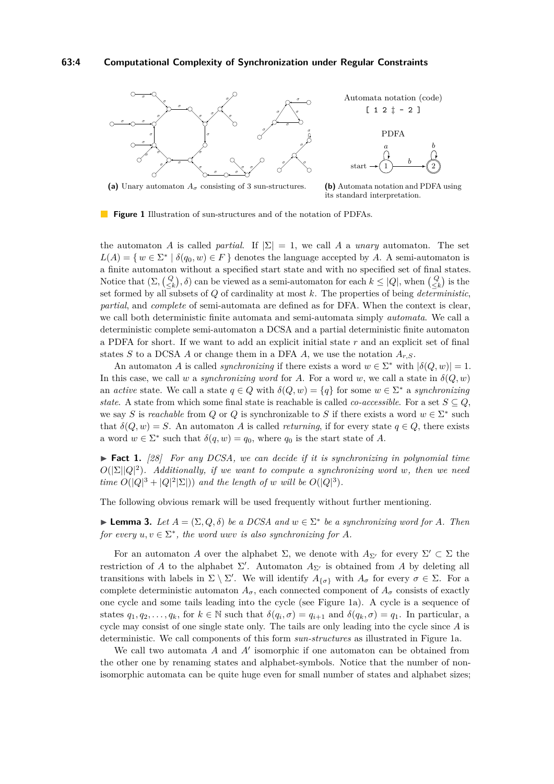<span id="page-3-0"></span>

**(b)** Automata notation and PDFA using its standard interpretation.

**Figure 1** Illustration of sun-structures and of the notation of PDFAs.

the automaton *A* is called *partial*. If  $|\Sigma| = 1$ , we call *A* a *unary* automaton. The set  $L(A) = \{ w \in \Sigma^* \mid \delta(q_0, w) \in F \}$  denotes the language accepted by *A*. A semi-automaton is a finite automaton without a specified start state and with no specified set of final states. Notice that  $(\Sigma, \{\mathcal{Q}_k\}, \delta)$  can be viewed as a semi-automaton for each  $k \leq |Q|$ , when  $\{\mathcal{Q}_k\}$  is the set formed by all subsets of *Q* of cardinality at most *k*. The properties of being *deterministic*, *partial*, and *complete* of semi-automata are defined as for DFA. When the context is clear, we call both deterministic finite automata and semi-automata simply *automata*. We call a deterministic complete semi-automaton a DCSA and a partial deterministic finite automaton a PDFA for short. If we want to add an explicit initial state *r* and an explicit set of final states *S* to a DCSA *A* or change them in a DFA *A*, we use the notation  $A_{r,S}$ .

An automaton *A* is called *synchronizing* if there exists a word  $w \in \Sigma^*$  with  $|\delta(Q, w)| = 1$ . In this case, we call *w* a *synchronizing word* for *A*. For a word *w*, we call a state in  $\delta(Q, w)$ an *active* state. We call a state  $q \in Q$  with  $\delta(Q, w) = \{q\}$  for some  $w \in \Sigma^*$  a *synchronizing state*. A state from which some final state is reachable is called *co-accessible*. For a set  $S \subseteq Q$ , we say *S* is *reachable* from *Q* or *Q* is synchronizable to *S* if there exists a word  $w \in \Sigma^*$  such that  $\delta(Q, w) = S$ . An automaton *A* is called *returning*, if for every state  $q \in Q$ , there exists a word  $w \in \Sigma^*$  such that  $\delta(q, w) = q_0$ , where  $q_0$  is the start state of *A*.

<span id="page-3-1"></span> $\triangleright$  **Fact 1.** [\[28\]](#page-13-2) For any DCSA, we can decide if it is synchronizing in polynomial time  $O(|\Sigma||Q|^2)$ . Additionally, if we want to compute a synchronizing word w, then we need *time*  $O(|Q|^3 + |Q|^2|\Sigma|)$  *and the length of w will be*  $O(|Q|^3)$ *.* 

<span id="page-3-2"></span>The following obvious remark will be used frequently without further mentioning.

► **Lemma 3.** *Let*  $A = (\Sigma, Q, \delta)$  *be a DCSA and*  $w \in \Sigma^*$  *be a synchronizing word for A. Then* for every  $u, v \in \Sigma^*$ , the word *uwv is also synchronizing for A.* 

For an automaton *A* over the alphabet  $\Sigma$ , we denote with  $A_{\Sigma'}$  for every  $\Sigma' \subset \Sigma$  the restriction of *A* to the alphabet  $\Sigma'$ . Automaton  $A_{\Sigma'}$  is obtained from *A* by deleting all transitions with labels in  $\Sigma \setminus \Sigma'$ . We will identify  $A_{\{\sigma\}}$  with  $A_{\sigma}$  for every  $\sigma \in \Sigma$ . For a complete deterministic automaton  $A_{\sigma}$ , each connected component of  $A_{\sigma}$  consists of exactly one cycle and some tails leading into the cycle (see Figure [1a\)](#page-3-0). A cycle is a sequence of states  $q_1, q_2, \ldots, q_k$ , for  $k \in \mathbb{N}$  such that  $\delta(q_i, \sigma) = q_{i+1}$  and  $\delta(q_k, \sigma) = q_1$ . In particular, a cycle may consist of one single state only. The tails are only leading into the cycle since *A* is deterministic. We call components of this form *sun-structures* as illustrated in Figure [1a.](#page-3-0)

We call two automata  $A$  and  $A'$  isomorphic if one automaton can be obtained from the other one by renaming states and alphabet-symbols. Notice that the number of nonisomorphic automata can be quite huge even for small number of states and alphabet sizes;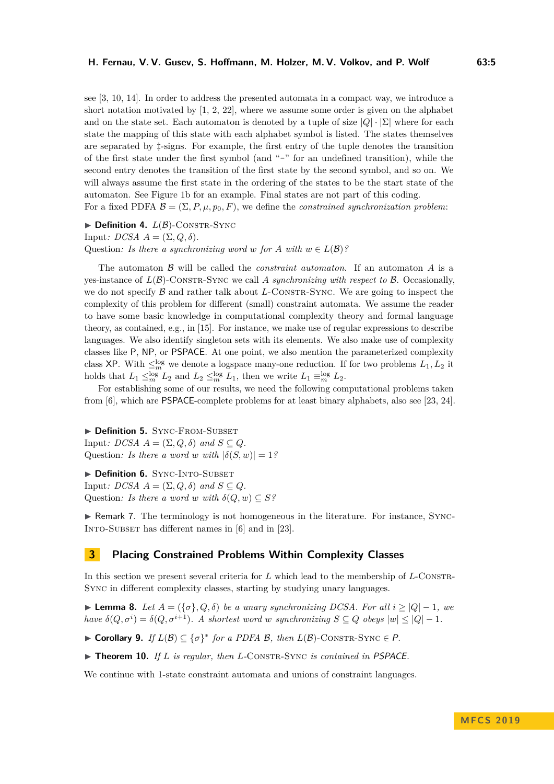see [\[3,](#page-12-3) [10,](#page-12-4) [14\]](#page-13-14). In order to address the presented automata in a compact way, we introduce a short notation motivated by [\[1,](#page-12-5) [2,](#page-12-6) [22\]](#page-13-15), where we assume some order is given on the alphabet and on the state set. Each automaton is denoted by a tuple of size  $|Q| \cdot |\Sigma|$  where for each state the mapping of this state with each alphabet symbol is listed. The states themselves are separated by ‡-signs. For example, the first entry of the tuple denotes the transition of the first state under the first symbol (and "-" for an undefined transition), while the second entry denotes the transition of the first state by the second symbol, and so on. We will always assume the first state in the ordering of the states to be the start state of the automaton. See Figure [1b](#page-3-0) for an example. Final states are not part of this coding. For a fixed PDFA  $\mathcal{B} = (\Sigma, P, \mu, p_0, F)$ , we define the *constrained synchronization problem:* 

 $\blacktriangleright$  **Definition 4.**  $L(\mathcal{B})$ -CONSTR-SYNC Input:  $DCSA A = (\Sigma, Q, \delta)$ . Question: *Is there a synchronizing word w for A with*  $w \in L(\mathcal{B})$ ?

The automaton B will be called the *constraint automaton*. If an automaton *A* is a yes-instance of  $L(\mathcal{B})$ -CONSTR-SYNC we call *A synchronizing with respect to*  $\mathcal{B}$ . Occasionally, we do not specify  $\beta$  and rather talk about *L*-CONSTR-SYNC. We are going to inspect the complexity of this problem for different (small) constraint automata. We assume the reader to have some basic knowledge in computational complexity theory and formal language theory, as contained, e.g., in [\[15\]](#page-13-16). For instance, we make use of regular expressions to describe languages. We also identify singleton sets with its elements. We also make use of complexity classes like P, NP, or PSPACE. At one point, we also mention the parameterized complexity class XP. With  $\leq_m^{\log}$  we denote a logspace many-one reduction. If for two problems  $L_1, L_2$  it holds that  $L_1 \leq_m^{\log} L_2$  and  $L_2 \leq_m^{\log} L_1$ , then we write  $L_1 \equiv_m^{\log} L_2$ .

For establishing some of our results, we need the following computational problems taken from [\[6\]](#page-12-7), which are PSPACE-complete problems for at least binary alphabets, also see [\[23,](#page-13-6) [24\]](#page-13-1).

**Definition 5. SYNC-FROM-SUBSET** Input:  $DCSA$   $A = (\Sigma, Q, \delta)$  and  $S \subseteq Q$ . Question: Is there a word *w* with  $|\delta(S, w)| = 1$ ?

**Definition 6.** SYNC-INTO-SUBSET Input:  $DCSA$   $A = (\Sigma, Q, \delta)$  and  $S \subseteq Q$ . Question: Is there a word *w* with  $\delta(Q, w) \subseteq S$ ?

 $\triangleright$  Remark 7. The terminology is not homogeneous in the literature. For instance, SYNC-INTO-SUBSET has different names in [\[6\]](#page-12-7) and in [\[23\]](#page-13-6).

## **3 Placing Constrained Problems Within Complexity Classes**

In this section we present several criteria for *L* which lead to the membership of *L*-CONSTR-Sync in different complexity classes, starting by studying unary languages.

<span id="page-4-1"></span> $\blacktriangleright$  **Lemma 8.** *Let A* = ({ $σ$ }, *Q*,  $δ$ ) *be a unary synchronizing DCSA. For all*  $i ≥ |Q| − 1$ *, we have*  $\delta(Q, \sigma^i) = \delta(Q, \sigma^{i+1})$ *. A shortest word w synchronizing*  $S \subseteq Q$  *obeys*  $|w| \leq |Q| - 1$ *.* 

<span id="page-4-2"></span>► **Corollary 9.** *If*  $L(B) \subseteq \{\sigma\}^*$  *for a PDFA B, then*  $L(B)$ -CONSTR-SYNC  $\in P$ *.* 

<span id="page-4-3"></span>▶ Theorem 10. *If L is regular, then L*-CONSTR-SYNC *is contained in PSPACE.* 

<span id="page-4-0"></span>We continue with 1-state constraint automata and unions of constraint languages.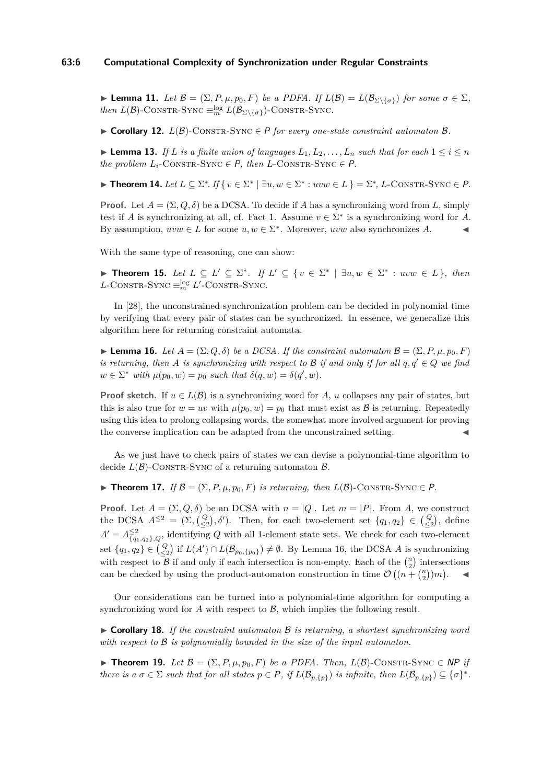#### **63:6 Computational Complexity of Synchronization under Regular Constraints**

 $\blacktriangleright$  **Lemma 11.** *Let*  $\mathcal{B} = (\Sigma, P, \mu, p_0, F)$  *be a PDFA. If*  $L(\mathcal{B}) = L(\mathcal{B}_{\Sigma \setminus {\{\sigma\}}})$  *for some σ* ∈  $\Sigma$ *, then*  $L(\mathcal{B})$ -CONSTR-SYNC  $\equiv_m^{\log} L(\mathcal{B}_{\Sigma \setminus {\{\sigma\}}})$ -CONSTR-SYNC.

**► Corollary 12.**  $L(\mathcal{B})$ -CONSTR-SYNC  $\in$  P for every one-state constraint automaton  $\mathcal{B}$ .

<span id="page-5-4"></span>► **Lemma 13.** *If L is a finite union of languages*  $L_1, L_2, \ldots, L_n$  *such that for each*  $1 \leq i \leq n$ *the problem*  $L_i$ -CONSTR-SYNC  $\in$  *P, then*  $L$ -CONSTR-SYNC  $\in$  *P.* 

<span id="page-5-3"></span>► **Theorem 14.** *Let*  $L \subseteq \Sigma^*$ . *If*  $\{v \in \Sigma^* \mid \exists u, w \in \Sigma^* : uvw \in L\} = \Sigma^*$ , *L*-CONSTR-SYNC  $\in P$ .

**Proof.** Let  $A = (\Sigma, Q, \delta)$  be a DCSA. To decide if *A* has a synchronizing word from *L*, simply test if *A* is synchronizing at all, cf. Fact [1.](#page-3-1) Assume  $v \in \Sigma^*$  is a synchronizing word for *A*. By assumption,  $uvw \in L$  for some  $u, w \in \Sigma^*$ . Moreover, *uvw* also synchronizes *A*.

<span id="page-5-5"></span>With the same type of reasoning, one can show:

▶ **Theorem 15.** *Let*  $L \subseteq L' \subseteq \Sigma^*$ . *If*  $L' \subseteq \{v \in \Sigma^* \mid \exists u, w \in \Sigma^* : uvw \in L\}$ , then  $L$ -Constr.-Sync  $\equiv_m^{\log} L'$ -Constr.-Sync.

In [\[28\]](#page-13-2), the unconstrained synchronization problem can be decided in polynomial time by verifying that every pair of states can be synchronized. In essence, we generalize this algorithm here for returning constraint automata.

<span id="page-5-1"></span>**Lemma 16.** *Let*  $A = (\Sigma, Q, \delta)$  *be a DCSA. If the constraint automaton*  $B = (\Sigma, P, \mu, p_0, F)$ *is returning, then A is synchronizing with respect to*  $\mathcal{B}$  *if and only if for all*  $q, q' \in Q$  *we find*  $w \in \Sigma^*$  *with*  $\mu(p_0, w) = p_0$  *such that*  $\delta(q, w) = \delta(q', w)$ *.* 

**Proof sketch.** If  $u \in L(\mathcal{B})$  is a synchronizing word for *A*, *u* collapses any pair of states, but this is also true for  $w = uv$  with  $\mu(p_0, w) = p_0$  that must exist as  $\mathcal{B}$  is returning. Repeatedly using this idea to prolong collapsing words, the somewhat more involved argument for proving the converse implication can be adapted from the unconstrained setting.

As we just have to check pairs of states we can devise a polynomial-time algorithm to decide  $L(\mathcal{B})$ -CONSTR-SYNC of a returning automaton  $\mathcal{B}$ .

<span id="page-5-2"></span>**► Theorem 17.** *If*  $\mathcal{B} = (\Sigma, P, \mu, p_0, F)$  *is returning, then*  $L(\mathcal{B})$ -CONSTR-SYNC  $\in P$ *.* 

**Proof.** Let  $A = (\Sigma, Q, \delta)$  be an DCSA with  $n = |Q|$ . Let  $m = |P|$ . From A, we construct the DCSA  $A^{\leq 2} = (\Sigma, \begin{pmatrix} Q \\ 2 \end{pmatrix}, \delta')$ . Then, for each two-element set  $\{q_1, q_2\} \in \begin{pmatrix} Q \\ \leq 2 \end{pmatrix}$ , define  $A' = A_{\{q_1, q_2\}, Q}^{\leq 2}$ , identifying *Q* with all 1-element state sets. We check for each two-element set  $\{q_1, q_2\} \in \binom{Q}{\leq 2}$  if  $L(A') \cap L(\mathcal{B}_{p_0, \{p_0\}}) \neq \emptyset$ . By Lemma [16,](#page-5-1) the DCSA *A* is synchronizing with respect to  $\mathcal B$  if and only if each intersection is non-empty. Each of the  $\binom{n}{2}$  intersections can be checked by using the product-automaton construction in time  $\mathcal{O}\left((n + \binom{n}{2})m\right)$ .

Our considerations can be turned into a polynomial-time algorithm for computing a synchronizing word for  $\vec{A}$  with respect to  $\vec{B}$ , which implies the following result.

 $\triangleright$  **Corollary 18.** If the constraint automaton  $\beta$  is returning, a shortest synchronizing word *with respect to* B *is polynomially bounded in the size of the input automaton.*

<span id="page-5-0"></span>**► Theorem 19.** Let  $\mathcal{B} = (\Sigma, P, \mu, p_0, F)$  be a PDFA. Then,  $L(\mathcal{B})$ -CONSTR-SYNC  $\in \mathsf{NP}$  if *there is a*  $\sigma \in \Sigma$  *such that for all states*  $p \in P$ *, if*  $L(\mathcal{B}_{p, \{p\}})$  *is infinite, then*  $L(\mathcal{B}_{p, \{p\}}) \subseteq {\{\sigma\}}^*$ *.*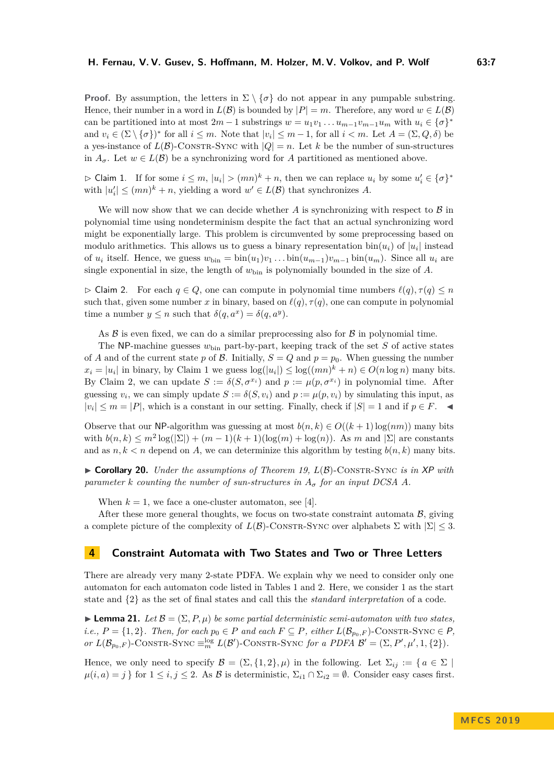**Proof.** By assumption, the letters in  $\Sigma \setminus {\sigma}$  do not appear in any pumpable substring. Hence, their number in a word in  $L(\mathcal{B})$  is bounded by  $|P| = m$ . Therefore, any word  $w \in L(\mathcal{B})$ can be partitioned into at most  $2m - 1$  substrings  $w = u_1v_1 \dots u_{m-1}v_{m-1}u_m$  with  $u_i \in {\{\sigma\}}^*$ and  $v_i \in (\Sigma \setminus \{\sigma\})^*$  for all  $i \leq m$ . Note that  $|v_i| \leq m-1$ , for all  $i < m$ . Let  $A = (\Sigma, Q, \delta)$  be a yes-instance of  $L(\mathcal{B})$ -CONSTR-SYNC with  $|Q| = n$ . Let k be the number of sun-structures in  $A_{\sigma}$ . Let  $w \in L(\mathcal{B})$  be a synchronizing word for *A* partitioned as mentioned above.

 $\triangleright$  Claim 1. If for some  $i \leq m$ ,  $|u_i| > (mn)^k + n$ , then we can replace  $u_i$  by some  $u'_i \in {\{\sigma\}}^*$ with  $|u'_i| \leq (mn)^k + n$ , yielding a word  $w' \in L(\mathcal{B})$  that synchronizes A.

We will now show that we can decide whether  $A$  is synchronizing with respect to  $B$  in polynomial time using nondeterminism despite the fact that an actual synchronizing word might be exponentially large. This problem is circumvented by some preprocessing based on modulo arithmetics. This allows us to guess a binary representation  $\text{bin}(u_i)$  of  $|u_i|$  instead of  $u_i$  itself. Hence, we guess  $w_{\text{bin}} = \text{bin}(u_1)v_1 \dots \text{bin}(u_{m-1})v_{m-1} \text{bin}(u_m)$ . Since all  $u_i$  are single exponential in size, the length of *w*bin is polynomially bounded in the size of *A*.

 $\triangleright$  Claim 2. For each  $q \in Q$ , one can compute in polynomial time numbers  $\ell(q), \tau(q) \leq n$ such that, given some number *x* in binary, based on  $\ell(q)$ ,  $\tau(q)$ , one can compute in polynomial time a number  $y \leq n$  such that  $\delta(q, a^x) = \delta(q, a^y)$ .

As  $\beta$  is even fixed, we can do a similar preprocessing also for  $\beta$  in polynomial time.

The NP-machine guesses *w*bin part-by-part, keeping track of the set *S* of active states of *A* and of the current state *p* of *B*. Initially,  $S = Q$  and  $p = p_0$ . When guessing the number  $x_i = |u_i|$  in binary, by Claim 1 we guess  $\log(|u_i|) \leq \log((mn)^k + n) \in O(n \log n)$  many bits. By Claim 2, we can update  $S := \delta(S, \sigma^{x_i})$  and  $p := \mu(p, \sigma^{x_i})$  in polynomial time. After guessing  $v_i$ , we can simply update  $S := \delta(S, v_i)$  and  $p := \mu(p, v_i)$  by simulating this input, as  $|v_i|$  ≤ *m* = |*P*|, which is a constant in our setting. Finally, check if  $|S| = 1$  and if  $p \in F$ .  $\blacktriangleleft$ 

Observe that our NP-algorithm was guessing at most  $b(n, k) \in O((k + 1) \log(nm))$  many bits with  $b(n,k) \leq m^2 \log(|\Sigma|) + (m-1)(k+1)(\log(m) + \log(n))$ . As *m* and  $|\Sigma|$  are constants and as  $n, k < n$  depend on A, we can determinize this algorithm by testing  $b(n, k)$  many bits.

▶ Corollary 20. *Under the assumptions of Theorem [19,](#page-5-0) L(B)*-CONSTR-SYNC *is in* XP *with parameter k counting the number of sun-structures in*  $A_{\sigma}$  *for an input DCSA A.* 

When  $k = 1$ , we face a one-cluster automaton, see [\[4\]](#page-12-8).

After these more general thoughts, we focus on two-state constraint automata  $\mathcal{B}$ , giving a complete picture of the complexity of  $L(\mathcal{B})$ -CONSTR-SYNC over alphabets  $\Sigma$  with  $|\Sigma| \leq 3$ .

#### **4 Constraint Automata with Two States and Two or Three Letters**

There are already very many 2-state PDFA. We explain why we need to consider only one automaton for each automaton code listed in Tables [1](#page-7-0) and [2.](#page-8-0) Here, we consider 1 as the start state and {2} as the set of final states and call this the *standard interpretation* of a code.

 $\blacktriangleright$  **Lemma 21.** Let  $\mathcal{B} = (\Sigma, P, \mu)$  be some partial deterministic semi-automaton with two states, *i.e.,*  $P = \{1, 2\}$ *. Then, for each*  $p_0 \in P$  *and each*  $F \subseteq P$ *, either*  $L(\mathcal{B}_{p_0, F})$ -CONSTR-SYNC  $\in P$ *, or*  $L(\mathcal{B}_{p_0,F})$ -CONSTR-SYNC  $\equiv_m^{\log} L(\mathcal{B}')$ -CONSTR-SYNC for a PDFA  $\mathcal{B}' = (\Sigma, P', \mu', 1, \{2\})$ .

<span id="page-6-0"></span>Hence, we only need to specify  $\mathcal{B} = (\Sigma, \{1, 2\}, \mu)$  in the following. Let  $\Sigma_{ij} := \{ a \in \Sigma \mid$  $\mu(i, a) = j$  for  $1 \leq i, j \leq 2$ . As B is deterministic,  $\Sigma_{i1} \cap \Sigma_{i2} = \emptyset$ . Consider easy cases first.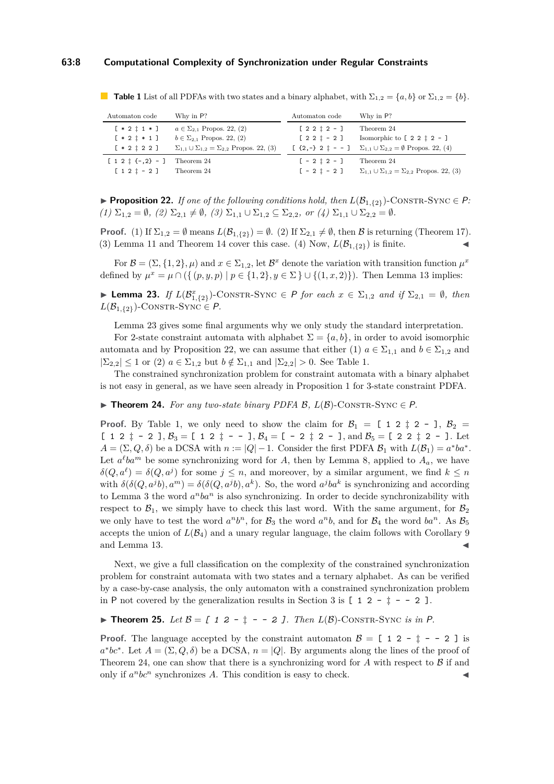#### **63:8 Computational Complexity of Synchronization under Regular Constraints**

<span id="page-7-0"></span>**Table 1** List of all PDFAs with two states and a binary alphabet, with  $\Sigma_{1,2} = \{a, b\}$  or  $\Sigma_{1,2} = \{b\}$ .

| Automaton code                                                                                                                                                                                           | Why in P?                | Automaton code                | Why in P?                                                                                                                                    |  |
|----------------------------------------------------------------------------------------------------------------------------------------------------------------------------------------------------------|--------------------------|-------------------------------|----------------------------------------------------------------------------------------------------------------------------------------------|--|
| $[ * 2 ; 1 * ]$<br>$a \in \Sigma_{2,1}$ Propos. 22, (2)<br>$[ * 2 1 * 1 ]$<br>$b \in \Sigma_{2,1}$ Propos. 22, (2)<br>$[ * 2 1 2 2 ]$<br>$\Sigma_{1,1} \cup \Sigma_{1,2} = \Sigma_{2,2}$ Propos. 22, (3) |                          | $[22 \t12 - ]$<br>$[221 - 2]$ | Theorem 24<br>Isomorphic to $[2 \t1 \t2 \t- ]$<br>[ $\{2, -\}$ 2 $\uparrow -$ ] $\Sigma_{1,1} \cup \Sigma_{2,2} = \emptyset$ Propos. 22, (4) |  |
| $[1 2 \ddagger \{-2, 2\} - ]$<br>$[121 - 2]$                                                                                                                                                             | Theorem 24<br>Theorem 24 |                               | Theorem 24<br>$\Sigma_{1,1} \cup \Sigma_{1,2} = \Sigma_{2,2}$ Propos. 22, (3)                                                                |  |

**► Proposition 22.** *If one of the following conditions hold, then*  $L(\mathcal{B}_{1,\{2\}})$ -CONSTR-SYNC  $\in P$ *:*  $(1)$   $\Sigma_{1,2} = \emptyset$ ,  $(2)$   $\Sigma_{2,1} \neq \emptyset$ ,  $(3)$   $\Sigma_{1,1} \cup \Sigma_{1,2} \subseteq \Sigma_{2,2}$ , or  $(4)$   $\Sigma_{1,1} \cup \Sigma_{2,2} = \emptyset$ .

**Proof.** (1) If  $\Sigma_{1,2} = \emptyset$  means  $L(\mathcal{B}_{1,\{2\}}) = \emptyset$ . (2) If  $\Sigma_{2,1} \neq \emptyset$ , then  $\mathcal{B}$  is returning (Theorem [17\)](#page-5-2). (3) Lemma [11](#page-4-0) and Theorem [14](#page-5-3) cover this case. (4) Now,  $L(\mathcal{B}_{1,\{2\}})$  is finite.

For  $\mathcal{B} = (\Sigma, \{1, 2\}, \mu)$  and  $x \in \Sigma_{1,2}$ , let  $\mathcal{B}^x$  denote the variation with transition function  $\mu^x$ defined by  $\mu^x = \mu \cap (\{(p, y, p) \mid p \in \{1, 2\}, y \in \Sigma\} \cup \{(1, x, 2)\})$ . Then Lemma [13](#page-5-4) implies:

<span id="page-7-2"></span>► Lemma 23. *If*  $L(\mathcal{B}_{1,\{2\}}^{x})$ -CONSTR-SYNC  $\in P$  *for each*  $x \in \Sigma_{1,2}$  *and if*  $\Sigma_{2,1} = \emptyset$ *, then*  $L(\mathcal{B}_{1,\{2\}})$ -CONSTR-SYNC  $\in P$ .

Lemma [23](#page-7-2) gives some final arguments why we only study the standard interpretation.

For 2-state constraint automata with alphabet  $\Sigma = \{a, b\}$ , in order to avoid isomorphic automata and by Proposition [22,](#page-6-0) we can assume that either (1)  $a \in \Sigma_{1,1}$  and  $b \in \Sigma_{1,2}$  and  $|\Sigma_{2,2}| \leq 1$  or (2)  $a \in \Sigma_{1,2}$  but  $b \notin \Sigma_{1,1}$  and  $|\Sigma_{2,2}| > 0$ . See Table [1.](#page-7-0)

The constrained synchronization problem for constraint automata with a binary alphabet is not easy in general, as we have seen already in Proposition [1](#page-2-1) for 3-state constraint PDFA.

<span id="page-7-1"></span>**► Theorem 24.** For any two-state binary PDFA  $\mathcal{B}$ ,  $L(\mathcal{B})$ -CONSTR-SYNC  $\in$  P.

**Proof.** By Table [1,](#page-7-0) we only need to show the claim for  $B_1 = [1 \ 2 \ \vdots \ 2 - ]$ ,  $B_2 =$  $[1\ 2\ \vdots\ -2\ ]$ ,  $B_3 = [1\ 2\ \vdots\ -1], B_4 = [1\ -2\ \vdots\ 2\ -1],$  and  $B_5 = [2\ 2\ \vdots\ 2\ -1].$  Let  $A = (\Sigma, Q, \delta)$  be a DCSA with  $n := |Q| - 1$ . Consider the first PDFA  $\mathcal{B}_1$  with  $L(\mathcal{B}_1) = a^*ba^*$ . Let  $a^{\ell}ba^m$  be some synchronizing word for *A*, then by Lemma [8,](#page-4-1) applied to  $A_a$ , we have  $\delta(Q, a^{\ell}) = \delta(Q, a^j)$  for some  $j \leq n$ , and moreover, by a similar argument, we find  $k \leq n$ with  $\delta(\delta(Q, a^j b), a^m) = \delta(\delta(Q, a^j b), a^k)$ . So, the word  $a^j ba^k$  is synchronizing and according to Lemma [3](#page-3-2) the word  $a^nba^n$  is also synchronizing. In order to decide synchronizability with respect to  $\mathcal{B}_1$ , we simply have to check this last word. With the same argument, for  $\mathcal{B}_2$ we only have to test the word  $a^n b^n$ , for  $\mathcal{B}_3$  the word  $a^n b$ , and for  $\mathcal{B}_4$  the word  $ba^n$ . As  $\mathcal{B}_5$ accepts the union of  $L(\mathcal{B}_4)$  and a unary regular language, the claim follows with Corollary [9](#page-4-2) and Lemma [13.](#page-5-4)  $\blacksquare$ 

Next, we give a full classification on the complexity of the constrained synchronization problem for constraint automata with two states and a ternary alphabet. As can be verified by a case-by-case analysis, the only automaton with a constrained synchronization problem in P not covered by the generalization results in Section [3](#page-5-5) is  $[1 2 - 1 - 2]$ .

### ▶ **Theorem 25.** *Let*  $B = [ 1 2 - \frac{1}{4} - -2]$ *. Then*  $L(B)$ -CONSTR-SYNC *is in*  $P$ *.*

**Proof.** The language accepted by the constraint automaton  $\mathcal{B} = [1 \ 2 - \frac{1}{2} - 2]$  is  $a^*bc^*$ . Let  $A = (\Sigma, Q, \delta)$  be a DCSA,  $n = |Q|$ . By arguments along the lines of the proof of Theorem [24,](#page-7-1) one can show that there is a synchronizing word for *A* with respect to B if and only if  $a^n b c^n$  synchronizes *A*. This condition is easy to check.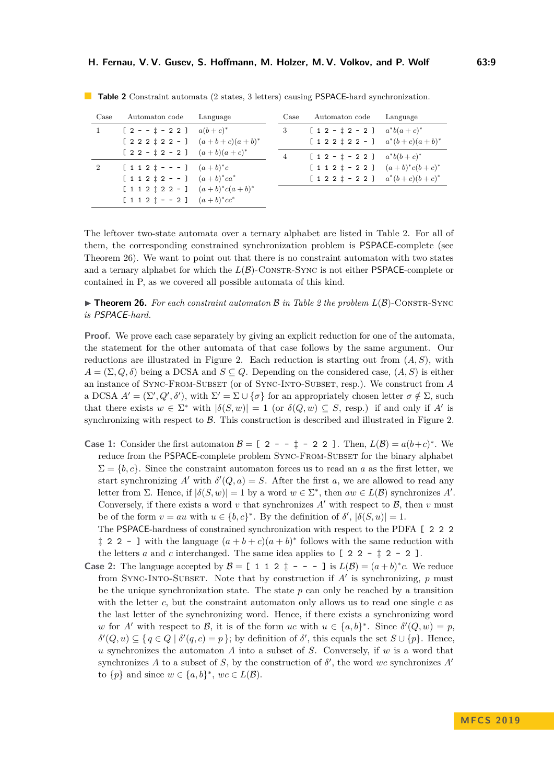| $\rm Case$  | Automaton code                               | Language | Case           | Automaton code                               | Language |
|-------------|----------------------------------------------|----------|----------------|----------------------------------------------|----------|
| $\mathbf 1$ | $[2 - - 1 - 2 2]$ $a(b+c)^*$                 |          | 3              | [ 1 2 - $\pm$ 2 - 2 ] $a^*b(a+c)^*$          |          |
|             | [ 2 2 2 $\ddagger$ 2 2 - ] $(a+b+c)(a+b)^*$  |          |                | [ 1 2 2 $\ddagger$ 2 2 - ] $a^*(b+c)(a+b)^*$ |          |
|             | [ 2 2 - $\ddagger$ 2 - 2 ] $(a+b)(a+c)^*$    |          | $\overline{4}$ | [ 1 2 - $\ddagger$ - 2 2 ] $a^*b(b+c)^*$     |          |
| $^{2}$      | [ 1 1 2 $\ddagger$ - - - ] $(a+b)^*c$        |          |                | [ 1 1 2 $\ddagger$ - 2 2 ] $(a+b)^*c(b+c)^*$ |          |
|             | [ 1 1 2 $\ddagger$ 2 - - ] $(a+b)^*ca^*$     |          |                | [ 1 2 2 $\ddagger$ - 2 2 ] $a^*(b+c)(b+c)^*$ |          |
|             | [ 1 1 2 $\ddagger$ 2 2 - ] $(a+b)^*c(a+b)^*$ |          |                |                                              |          |

<span id="page-8-0"></span>**Table 2** Constraint automata (2 states, 3 letters) causing PSPACE-hard synchronization.

∗ *cc*<sup>∗</sup>

 $[1 1 2 1 - - 2]$ 

The leftover two-state automata over a ternary alphabet are listed in Table [2.](#page-8-0) For all of them, the corresponding constrained synchronization problem is PSPACE-complete (see Theorem [26\)](#page-8-1). We want to point out that there is no constraint automaton with two states and a ternary alphabet for which the  $L(\mathcal{B})$ -CONSTR-SYNC is not either PSPACE-complete or contained in P, as we covered all possible automata of this kind.

<span id="page-8-1"></span> $\triangleright$  **Theorem [2](#page-8-0)6.** For each constraint automaton B in Table 2 the problem  $L(\mathcal{B})$ -CONSTR-SYNC *is* PSPACE*-hard.*

**Proof.** We prove each case separately by giving an explicit reduction for one of the automata, the statement for the other automata of that case follows by the same argument. Our reductions are illustrated in Figure [2.](#page-9-0) Each reduction is starting out from (*A, S*), with  $A = (\Sigma, Q, \delta)$  being a DCSA and  $S \subseteq Q$ . Depending on the considered case,  $(A, S)$  is either an instance of Sync-From-Subset (or of Sync-Into-Subset, resp.). We construct from *A* a DCSA  $A' = (\Sigma', Q', \delta')$ , with  $\Sigma' = \Sigma \cup {\sigma}$  for an appropriately chosen letter  $\sigma \notin \Sigma$ , such that there exists  $w \in \Sigma^*$  with  $|\delta(S, w)| = 1$  (or  $\delta(Q, w) \subseteq S$ , resp.) if and only if A' is synchronizing with respect to  $\beta$ . This construction is described and illustrated in Figure [2.](#page-9-0)

**Case 1:** Consider the first automaton  $\mathcal{B} = [2 - \frac{1}{2} - 2 \cdot 2]$ . Then,  $L(\mathcal{B}) = a(b+c)^*$ . We reduce from the PSPACE-complete problem Sync-From-Subset for the binary alphabet  $\Sigma = \{b, c\}$ . Since the constraint automaton forces us to read an *a* as the first letter, we start synchronizing  $A'$  with  $\delta'(Q, a) = S$ . After the first *a*, we are allowed to read any letter from  $\Sigma$ . Hence, if  $|\delta(S, w)| = 1$  by a word  $w \in \Sigma^*$ , then  $aw \in L(\mathcal{B})$  synchronizes A'. Conversely, if there exists a word  $v$  that synchronizes  $A'$  with respect to  $B$ , then  $v$  must be of the form  $v = au$  with  $u \in \{b, c\}^*$ . By the definition of  $\delta'$ ,  $|\delta(S, u)| = 1$ .

The PSPACE-hardness of constrained synchronization with respect to the PDFA [ 2 2 2  $\ddagger$  2 2 - ] with the language  $(a + b + c)(a + b)^*$  follows with the same reduction with the letters *a* and *c* interchanged. The same idea applies to  $\begin{bmatrix} 2 & 2 & -1 \\ 2 & -2 & 2 \end{bmatrix}$ .

**Case 2:** The language accepted by  $\mathcal{B} = [ 1 1 2 \ \vdots \ - - - ]$  is  $L(\mathcal{B}) = (a+b)^*c$ . We reduce from SYNC-INTO-SUBSET. Note that by construction if  $A'$  is synchronizing,  $p$  must be the unique synchronization state. The state *p* can only be reached by a transition with the letter  $c$ , but the constraint automaton only allows us to read one single  $c$  as the last letter of the synchronizing word. Hence, if there exists a synchronizing word *w* for *A*<sup> $\prime$ </sup> with respect to *B*, it is of the form *uc* with  $u \in \{a, b\}^*$ . Since  $\delta'(Q, w) = p$ ,  $\delta'(Q, u) \subseteq \{q \in Q \mid \delta'(q, c) = p\}$ ; by definition of  $\delta'$ , this equals the set  $S \cup \{p\}$ . Hence, *u* synchronizes the automaton *A* into a subset of *S*. Conversely, if *w* is a word that synchronizes *A* to a subset of *S*, by the construction of  $\delta'$ , the word *wc* synchronizes *A*<sup> $\delta$ </sup> to  $\{p\}$  and since  $w \in \{a, b\}^*, wc \in L(\mathcal{B})$ .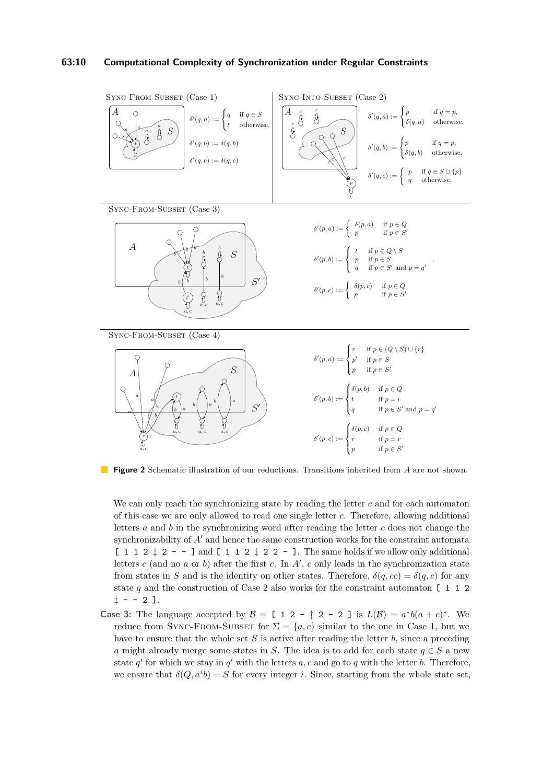#### **63:10 Computational Complexity of Synchronization under Regular Constraints**

<span id="page-9-0"></span>

**Figure 2** Schematic illustration of our reductions. Transitions inherited from *A* are not shown.

We can only reach the synchronizing state by reading the letter *c* and for each automaton of this case we are only allowed to read one single letter *c*. Therefore, allowing additional letters *a* and *b* in the synchronizing word after reading the letter *c* does not change the synchronizability of  $A'$  and hence the same construction works for the constraint automata [ 1 1 2  $\ddagger$  2 - - ] and [ 1 1 2  $\ddagger$  2 2 - ]. The same holds if we allow only additional letters  $c$  (and no  $a$  or  $b$ ) after the first  $c$ . In  $A'$ ,  $c$  only leads in the synchronization state from states in *S* and is the identity on other states. Therefore,  $\delta(q, cc) = \delta(q, c)$  for any state *q* and the construction of Case 2 also works for the constraint automaton [ 1 1 2  $\uparrow$  - - 2 ].

**Case 3:** The language accepted by  $\mathcal{B} = [1 \ 2 - \frac{1}{4} \ 2 - 2]$  is  $L(\mathcal{B}) = a^*b(a+c)^*$ . We reduce from SYNC-FROM-SUBSET for  $\Sigma = \{a, c\}$  similar to the one in Case 1, but we have to ensure that the whole set *S* is active after reading the letter *b*, since a preceding *a* might already merge some states in *S*. The idea is to add for each state  $q \in S$  a new state  $q'$  for which we stay in  $q'$  with the letters  $a, c$  and go to  $q$  with the letter  $b$ . Therefore, we ensure that  $\delta(Q, a^i b) = S$  for every integer *i*. Since, starting from the whole state set,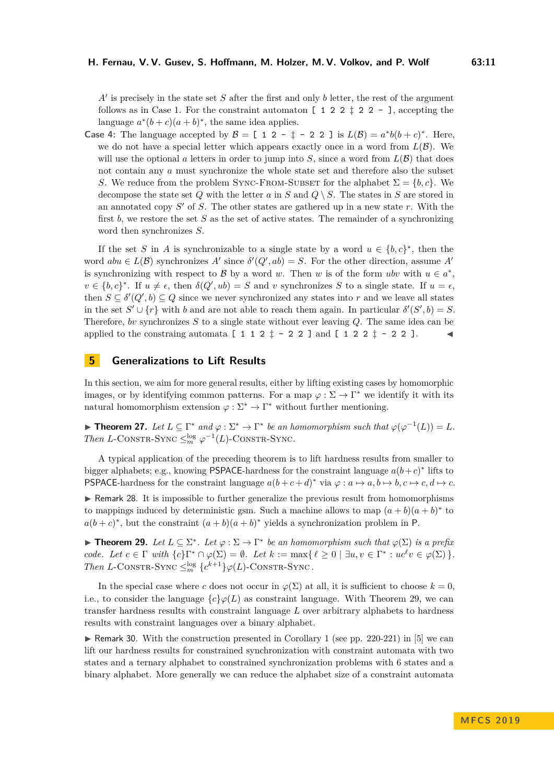$A'$  is precisely in the state set  $S$  after the first and only  $b$  letter, the rest of the argument follows as in Case 1. For the constraint automaton  $\begin{bmatrix} 1 & 2 & 2 & \pm 2 & 2 & - \end{bmatrix}$ , accepting the language  $a^*(b+c)(a+b)^*$ , the same idea applies.

**Case 4:** The language accepted by  $\mathcal{B} = [1 \ 2 - \frac{1}{r} - 2 \ 2]$  is  $L(\mathcal{B}) = a^*b(b+c)^*$ . Here, we do not have a special letter which appears exactly once in a word from  $L(\mathcal{B})$ . We will use the optional *a* letters in order to jump into *S*, since a word from  $L(\mathcal{B})$  that does not contain any *a* must synchronize the whole state set and therefore also the subset *S*. We reduce from the problem SYNC-FROM-SUBSET for the alphabet  $\Sigma = \{b, c\}$ . We decompose the state set *Q* with the letter *a* in *S* and  $Q \setminus S$ . The states in *S* are stored in an annotated copy  $S'$  of  $S$ . The other states are gathered up in a new state  $r$ . With the first *b*, we restore the set *S* as the set of active states. The remainder of a synchronizing word then synchronizes *S*.

If the set *S* in *A* is synchronizable to a single state by a word  $u \in \{b, c\}^*$ , then the word  $abu \in L(\mathcal{B})$  synchronizes  $A'$  since  $\delta'(Q', ab) = S$ . For the other direction, assume  $A'$ is synchronizing with respect to B by a word *w*. Then *w* is of the form *ubv* with  $u \in a^*$ ,  $v \in \{b, c\}^*$ . If  $u \neq \epsilon$ , then  $\delta(Q', ub) = S$  and *v* synchronizes *S* to a single state. If  $u = \epsilon$ , then  $S \subseteq \delta'(Q', b) \subseteq Q$  since we never synchronized any states into r and we leave all states in the set  $S' \cup \{r\}$  with *b* and are not able to reach them again. In particular  $\delta'(S', b) = S$ . Therefore, *bv* synchronizes *S* to a single state without ever leaving *Q*. The same idea can be applied to the constraing automata  $[1 1 2 \ \frac{1}{4} - 2 2]$  and  $[1 2 2 \ \frac{1}{4} - 2 2]$ .

### **5 Generalizations to Lift Results**

In this section, we aim for more general results, either by lifting existing cases by homomorphic images, or by identifying common patterns. For a map  $\varphi : \Sigma \to \Gamma^*$  we identify it with its natural homomorphism extension  $\varphi : \Sigma^* \to \Gamma^*$  without further mentioning.

**► Theorem 27.** *Let*  $L \subseteq \Gamma^*$  *and*  $\varphi : \Sigma^* \to \Gamma^*$  *be an homomorphism such that*  $\varphi(\varphi^{-1}(L)) = L$ *. Then L*-CONSTR-SYNC  $\leq_m^{\log} \varphi^{-1}(L)$ -CONSTR-SYNC.

A typical application of the preceding theorem is to lift hardness results from smaller to bigger alphabets; e.g., knowing PSPACE-hardness for the constraint language  $a(b+c)^*$  lifts to **PSPACE-hardness for the constraint language**  $a(b+c+d)^*$  **via**  $\varphi : a \mapsto a, b \mapsto b, c \mapsto c, d \mapsto c$ **.** 

 $\triangleright$  Remark 28. It is impossible to further generalize the previous result from homomorphisms to mappings induced by deterministic gsm. Such a machine allows to map  $(a + b)(a + b)^*$  to  $a(b+c)^*$ , but the constraint  $(a+b)(a+b)^*$  yields a synchronization problem in P.

<span id="page-10-0"></span>**► Theorem 29.** Let  $L \subseteq \Sigma^*$ . Let  $\varphi : \Sigma \to \Gamma^*$  be an homomorphism such that  $\varphi(\Sigma)$  is a prefix *code.* Let  $c \in \Gamma$  *with*  $\{c\} \Gamma^* \cap \varphi(\Sigma) = \emptyset$ . Let  $k := \max\{\ell \geq 0 \mid \exists u, v \in \Gamma^* : uc^{\ell}v \in \varphi(\Sigma)\}.$ *Then L*-CONSTR-SYNC  $\leq_m^{\log} {c^{k+1}} \phi(L)$ -CONSTR-SYNC.

In the special case where *c* does not occur in  $\varphi(\Sigma)$  at all, it is sufficient to choose  $k = 0$ , i.e., to consider the language  $\{c\}\varphi(L)$  as constraint language. With Theorem [29,](#page-10-0) we can transfer hardness results with constraint language *L* over arbitrary alphabets to hardness results with constraint languages over a binary alphabet.

 $\triangleright$  Remark 30. With the construction presented in Corollary 1 (see pp. 220-221) in [\[5\]](#page-12-9) we can lift our hardness results for constrained synchronization with constraint automata with two states and a ternary alphabet to constrained synchronization problems with 6 states and a binary alphabet. More generally we can reduce the alphabet size of a constraint automata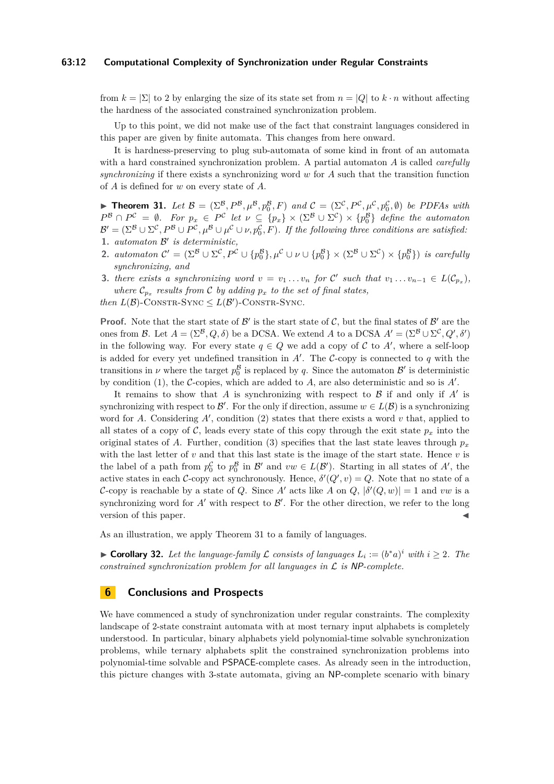#### **63:12 Computational Complexity of Synchronization under Regular Constraints**

from  $k = |\Sigma|$  to 2 by enlarging the size of its state set from  $n = |Q|$  to  $k \cdot n$  without affecting the hardness of the associated constrained synchronization problem.

Up to this point, we did not make use of the fact that constraint languages considered in this paper are given by finite automata. This changes from here onward.

It is hardness-preserving to plug sub-automata of some kind in front of an automata with a hard constrained synchronization problem. A partial automaton *A* is called *carefully synchronizing* if there exists a synchronizing word *w* for *A* such that the transition function of *A* is defined for *w* on every state of *A*.

<span id="page-11-0"></span>**Fineorem 31.** *Let*  $\mathcal{B} = (\Sigma^{\mathcal{B}}, P^{\mathcal{B}}, \mu^{\mathcal{B}}, p_0^{\mathcal{B}}, F)$  and  $\mathcal{C} = (\Sigma^{\mathcal{C}}, P^{\mathcal{C}}, \mu^{\mathcal{C}}, p_0^{\mathcal{C}}, \emptyset)$  be PDFAs with  $P^{\mathcal{B}} \cap P^{\mathcal{C}} = \emptyset$ . For  $p_x \in P^{\mathcal{C}}$  let  $\nu \subseteq \{p_x\} \times (\Sigma^{\mathcal{B}} \cup \Sigma^{\mathcal{C}}) \times \{p_0^{\mathcal{B}}\}$  define the automaton  $\mathcal{B}' = (\Sigma^{\mathcal{B}} \cup \Sigma^{\mathcal{C}}, P^{\mathcal{B}} \cup P^{\mathcal{C}}, \mu^{\mathcal{B}} \cup \mu^{\mathcal{C}} \cup \nu, p_0^{\mathcal{C}}, F)$ . If the following three conditions are satisfied: **1.** *automaton* B 0 *is deterministic,*

- **2.** *automaton*  $\mathcal{C}' = (\Sigma^{\mathcal{B}} \cup \Sigma^{\mathcal{C}}, P^{\mathcal{C}} \cup \{p_0^{\mathcal{B}}\}, \mu^{\mathcal{C}} \cup \nu \cup \{p_0^{\mathcal{B}}\} \times (\Sigma^{\mathcal{B}} \cup \Sigma^{\mathcal{C}}) \times \{p_0^{\mathcal{B}}\})$  *is carefully synchronizing, and*
- **3.** *there exists a synchronizing word*  $v = v_1 \ldots v_n$  *for*  $C'$  *such that*  $v_1 \ldots v_{n-1} \in L(C_{p_x})$ *, where*  $\mathcal{C}_{p_x}$  *results from*  $\mathcal{C}$  *by adding*  $p_x$  *to the set of final states, then*  $L(\mathcal{B})$ -CONSTR-SYNC  $\leq L(\mathcal{B}')$ -CONSTR-SYNC.

**Proof.** Note that the start state of  $\mathcal{B}'$  is the start state of  $\mathcal{C}$ , but the final states of  $\mathcal{B}'$  are the ones from B. Let  $A = (\Sigma^{\mathcal{B}}, Q, \delta)$  be a DCSA. We extend A to a DCSA  $A' = (\Sigma^{\mathcal{B}} \cup \Sigma^{\mathcal{C}}, Q', \delta')$ in the following way. For every state  $q \in Q$  we add a copy of C to A', where a self-loop is added for every yet undefined transition in  $A'$ . The C-copy is connected to  $q$  with the transitions in  $\nu$  where the target  $p_0^{\mathcal{B}}$  is replaced by *q*. Since the automaton  $\mathcal{B}'$  is deterministic by condition  $(1)$ , the C-copies, which are added to A, are also deterministic and so is  $A'$ .

It remains to show that  $A$  is synchronizing with respect to  $B$  if and only if  $A'$  is synchronizing with respect to  $\mathcal{B}'$ . For the only if direction, assume  $w \in L(\mathcal{B})$  is a synchronizing word for  $A$ . Considering  $A'$ , condition  $(2)$  states that there exists a word  $v$  that, applied to all states of a copy of C, leads every state of this copy through the exit state  $p_x$  into the original states of *A*. Further, condition (3) specifies that the last state leaves through  $p_x$ with the last letter of *v* and that this last state is the image of the start state. Hence *v* is the label of a path from  $p_0^{\mathcal{C}}$  to  $p_0^{\mathcal{B}}$  in  $\mathcal{B}'$  and  $vw \in L(\mathcal{B}')$ . Starting in all states of  $A'$ , the active states in each C-copy act synchronously. Hence,  $\delta'(Q', v) = Q$ . Note that no state of a C-copy is reachable by a state of *Q*. Since *A'* acts like *A* on  $Q$ ,  $|\delta'(Q, w)| = 1$  and *vw* is a synchronizing word for  $A'$  with respect to  $B'$ . For the other direction, we refer to the long version of this paper.

As an illustration, we apply Theorem [31](#page-11-0) to a family of languages.

► **Corollary 32.** Let the language-family  $\mathcal L$  consists of languages  $L_i := (b^*a)^i$  with  $i \geq 2$ . The *constrained synchronization problem for all languages in* L *is* NP*-complete.*

#### **6 Conclusions and Prospects**

We have commenced a study of synchronization under regular constraints. The complexity landscape of 2-state constraint automata with at most ternary input alphabets is completely understood. In particular, binary alphabets yield polynomial-time solvable synchronization problems, while ternary alphabets split the constrained synchronization problems into polynomial-time solvable and PSPACE-complete cases. As already seen in the introduction, this picture changes with 3-state automata, giving an NP-complete scenario with binary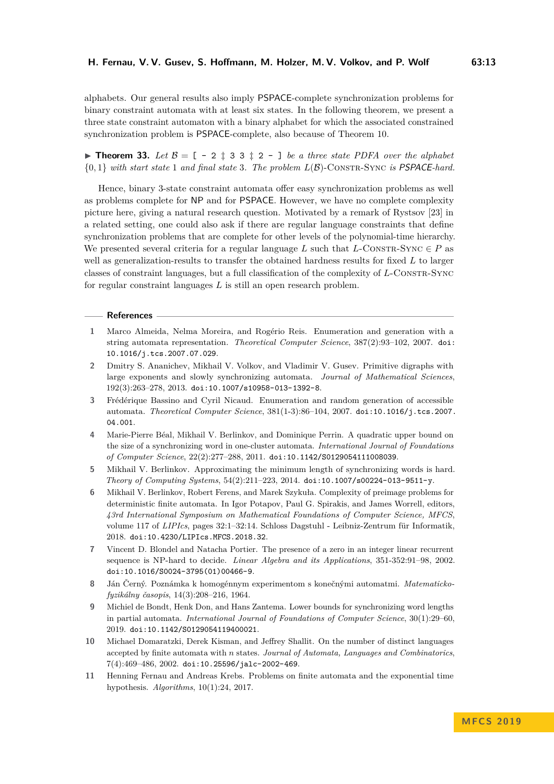alphabets. Our general results also imply PSPACE-complete synchronization problems for binary constraint automata with at least six states. In the following theorem, we present a three state constraint automaton with a binary alphabet for which the associated constrained synchronization problem is PSPACE-complete, also because of Theorem [10.](#page-4-3)

 $\triangleright$  **Theorem 33.** Let  $\mathcal{B} = [-2 \pm 3 \pm 2 - ]$  *be a three state PDFA over the alphabet* {0*,* 1} *with start state* 1 *and final state* 3*. The problem L*(B)-Constr-Sync *is* PSPACE*-hard.*

Hence, binary 3-state constraint automata offer easy synchronization problems as well as problems complete for NP and for PSPACE. However, we have no complete complexity picture here, giving a natural research question. Motivated by a remark of Rystsov [\[23\]](#page-13-6) in a related setting, one could also ask if there are regular language constraints that define synchronization problems that are complete for other levels of the polynomial-time hierarchy. We presented several criteria for a regular language  $L$  such that  $L$ -Constra-Sync  $\in P$  as well as generalization-results to transfer the obtained hardness results for fixed *L* to larger classes of constraint languages, but a full classification of the complexity of *L*-Constr-Sync for regular constraint languages *L* is still an open research problem.

#### **References**

- <span id="page-12-5"></span>**1** Marco Almeida, Nelma Moreira, and Rogério Reis. Enumeration and generation with a string automata representation. *Theoretical Computer Science*, 387(2):93–102, 2007. [doi:](https://doi.org/10.1016/j.tcs.2007.07.029) [10.1016/j.tcs.2007.07.029](https://doi.org/10.1016/j.tcs.2007.07.029).
- <span id="page-12-6"></span>**2** Dmitry S. Ananichev, Mikhail V. Volkov, and Vladimir V. Gusev. Primitive digraphs with large exponents and slowly synchronizing automata. *Journal of Mathematical Sciences*, 192(3):263–278, 2013. [doi:10.1007/s10958-013-1392-8](https://doi.org/10.1007/s10958-013-1392-8).
- <span id="page-12-3"></span>**3** Frédérique Bassino and Cyril Nicaud. Enumeration and random generation of accessible automata. *Theoretical Computer Science*, 381(1-3):86–104, 2007. [doi:10.1016/j.tcs.2007.](https://doi.org/10.1016/j.tcs.2007.04.001) [04.001](https://doi.org/10.1016/j.tcs.2007.04.001).
- <span id="page-12-8"></span>**4** Marie-Pierre Béal, Mikhail V. Berlinkov, and Dominique Perrin. A quadratic upper bound on the size of a synchronizing word in one-cluster automata. *International Journal of Foundations of Computer Science*, 22(2):277–288, 2011. [doi:10.1142/S0129054111008039](https://doi.org/10.1142/S0129054111008039).
- <span id="page-12-9"></span>**5** Mikhail V. Berlinkov. Approximating the minimum length of synchronizing words is hard. *Theory of Computing Systems*, 54(2):211–223, 2014. [doi:10.1007/s00224-013-9511-y](https://doi.org/10.1007/s00224-013-9511-y).
- <span id="page-12-7"></span>**6** Mikhail V. Berlinkov, Robert Ferens, and Marek Szykuła. Complexity of preimage problems for deterministic finite automata. In Igor Potapov, Paul G. Spirakis, and James Worrell, editors, *43rd International Symposium on Mathematical Foundations of Computer Science, MFCS*, volume 117 of *LIPIcs*, pages 32:1–32:14. Schloss Dagstuhl - Leibniz-Zentrum für Informatik, 2018. [doi:10.4230/LIPIcs.MFCS.2018.32](https://doi.org/10.4230/LIPIcs.MFCS.2018.32).
- **7** Vincent D. Blondel and Natacha Portier. The presence of a zero in an integer linear recurrent sequence is NP-hard to decide. *Linear Algebra and its Applications*, 351-352:91–98, 2002. [doi:10.1016/S0024-3795\(01\)00466-9](https://doi.org/10.1016/S0024-3795(01)00466-9).
- <span id="page-12-0"></span>**8** Ján Černý. Poznámka k homogénnym experimentom s konečnými automatmi. *Matematickofyzikálny časopis*, 14(3):208–216, 1964.
- <span id="page-12-1"></span>**9** Michiel de Bondt, Henk Don, and Hans Zantema. Lower bounds for synchronizing word lengths in partial automata. *International Journal of Foundations of Computer Science*, 30(1):29–60, 2019. [doi:10.1142/S0129054119400021](https://doi.org/10.1142/S0129054119400021).
- <span id="page-12-4"></span>**10** Michael Domaratzki, Derek Kisman, and Jeffrey Shallit. On the number of distinct languages accepted by finite automata with *n* states. *Journal of Automata, Languages and Combinatorics*, 7(4):469–486, 2002. [doi:10.25596/jalc-2002-469](https://doi.org/10.25596/jalc-2002-469).
- <span id="page-12-2"></span>**11** Henning Fernau and Andreas Krebs. Problems on finite automata and the exponential time hypothesis. *Algorithms*, 10(1):24, 2017.